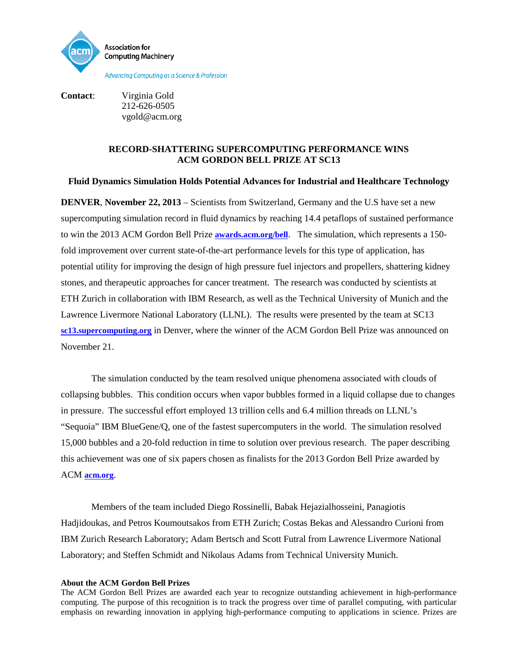

**Contact**: Virginia Gold 212-626-0505 vgold@acm.org

## **RECORD-SHATTERING SUPERCOMPUTING PERFORMANCE WINS ACM GORDON BELL PRIZE AT SC13**

## **Fluid Dynamics Simulation Holds Potential Advances for Industrial and Healthcare Technology**

**DENVER**, **November 22, 2013** – Scientists from Switzerland, Germany and the U.S have set a new supercomputing simulation record in fluid dynamics by reaching 14.4 petaflops of sustained performance to win the 2013 ACM Gordon Bell Prize **[awards.acm.org/bell](http://awards.acm.org/bell/)**. The simulation, which represents a 150 fold improvement over current state-of-the-art performance levels for this type of application, has potential utility for improving the design of high pressure fuel injectors and propellers, shattering kidney stones, and therapeutic approaches for cancer treatment. The research was conducted by scientists at ETH Zurich in collaboration with IBM Research, as well as the Technical University of Munich and the Lawrence Livermore National Laboratory (LLNL). The results were presented by the team at SC13 **[sc13.supercomputing.org](http://sc13.supercomputing.org/)** in Denver, where the winner of the ACM Gordon Bell Prize was announced on November 21.

The simulation conducted by the team resolved unique phenomena associated with clouds of collapsing bubbles. This condition occurs when vapor bubbles formed in a liquid collapse due to changes in pressure. The successful effort employed 13 trillion cells and 6.4 million threads on LLNL's "Sequoia" IBM BlueGene/Q, one of the fastest supercomputers in the world. The simulation resolved 15,000 bubbles and a 20-fold reduction in time to solution over previous research. The paper describing this achievement was one of six papers chosen as finalists for the 2013 Gordon Bell Prize awarded by ACM **[acm.org](http://www.acm.org/)**.

Members of the team included Diego Rossinelli, Babak Hejazialhosseini, Panagiotis Hadjidoukas, and Petros Koumoutsakos from ETH Zurich; Costas Bekas and Alessandro Curioni from IBM Zurich Research Laboratory; Adam Bertsch and Scott Futral from Lawrence Livermore National Laboratory; and Steffen Schmidt and Nikolaus Adams from Technical University Munich.

## **About the ACM Gordon Bell Prizes**

The ACM Gordon Bell Prizes are awarded each year to recognize outstanding achievement in high-performance computing. The purpose of this recognition is to track the progress over time of parallel computing, with particular emphasis on rewarding innovation in applying high-performance computing to applications in science. Prizes are